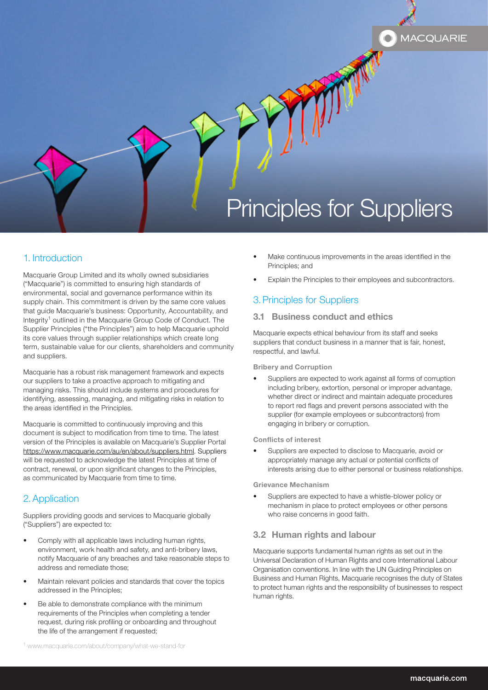# Principles for Suppliers

# 1. Introduction

Macquarie Group Limited and its wholly owned subsidiaries ("Macquarie") is committed to ensuring high standards of environmental, social and governance performance within its supply chain. This commitment is driven by the same core values that guide Macquarie's business: Opportunity, Accountability, and Integrity<sup>1</sup> outlined in the Macquarie Group Code of Conduct. The Supplier Principles ("the Principles") aim to help Macquarie uphold its core values through supplier relationships which create long term, sustainable value for our clients, shareholders and community and suppliers.

Macquarie has a robust risk management framework and expects our suppliers to take a proactive approach to mitigating and managing risks. This should include systems and procedures for identifying, assessing, managing, and mitigating risks in relation to the areas identified in the Principles.

Macquarie is committed to continuously improving and this document is subject to modification from time to time. The latest version of the Principles is available on Macquarie's Supplier Portal [https://www.macquarie.com/au/en/about/suppliers.html.](https://www.macquarie.com/au/en/about/suppliers.html) Suppliers will be requested to acknowledge the latest Principles at time of contract, renewal, or upon significant changes to the Principles, as communicated by Macquarie from time to time.

# 2.Application

Suppliers providing goods and services to Macquarie globally ("Suppliers") are expected to:

- Comply with all applicable laws including human rights, environment, work health and safety, and anti-bribery laws, notify Macquarie of any breaches and take reasonable steps to address and remediate those;
- Maintain relevant policies and standards that cover the topics addressed in the Principles;
- Be able to demonstrate compliance with the minimum requirements of the Principles when completing a tender request, during risk profiling or onboarding and throughout the life of the arrangement if requested;

Make continuous improvements in the areas identified in the Principles; and

**MACQUARIE** 

Explain the Principles to their employees and subcontractors.

# 3.Principles for Suppliers

### 3.1 Business conduct and ethics

Macquarie expects ethical behaviour from its staff and seeks suppliers that conduct business in a manner that is fair, honest, respectful, and lawful.

Bribery and Corruption

Suppliers are expected to work against all forms of corruption including bribery, extortion, personal or improper advantage, whether direct or indirect and maintain adequate procedures to report red flags and prevent persons associated with the supplier (for example employees or subcontractors) from engaging in bribery or corruption.

Conflicts of interest

• Suppliers are expected to disclose to Macquarie, avoid or appropriately manage any actual or potential conflicts of interests arising due to either personal or business relationships.

Grievance Mechanism

• Suppliers are expected to have a whistle-blower policy or mechanism in place to protect employees or other persons who raise concerns in good faith.

## 3.2 Human rights and labour

Macquarie supports fundamental human rights as set out in the Universal Declaration of Human Rights and core International Labour Organisation conventions. In line with the UN Guiding Principles on Business and Human Rights, Macquarie recognises the duty of States to protect human rights and the responsibility of businesses to respect human rights.

<sup>1</sup> [www.macquarie.com/about/company/what-we-stand-for](https://www.macquarie.com/uk/en/about/what-we-stand-for.html)